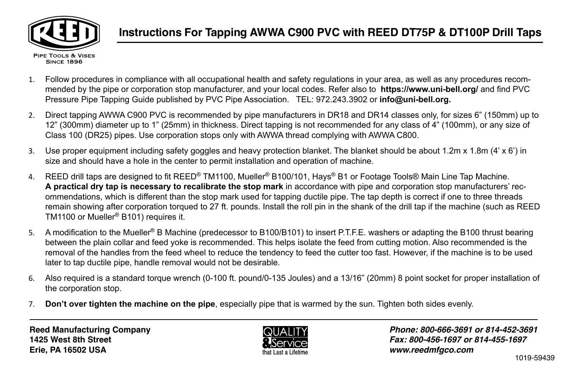

- 1. Follow procedures in compliance with all occupational health and safety regulations in your area, as well as any procedures recommended by the pipe or corporation stop manufacturer, and your local codes. Refer also to **https://www.uni-bell.org/** and find PVC Pressure Pipe Tapping Guide published by PVC Pipe Association. TEL: 972.243.3902 or **info@uni-bell.org.**
- 2. Direct tapping AWWA C900 PVC is recommended by pipe manufacturers in DR18 and DR14 classes only, for sizes 6" (150mm) up to 12" (300mm) diameter up to 1" (25mm) in thickness. Direct tapping is not recommended for any class of 4" (100mm), or any size of Class 100 (DR25) pipes. Use corporation stops only with AWWA thread complying with AWWA C800.
- 3. Use proper equipment including safety goggles and heavy protection blanket. The blanket should be about 1.2m x 1.8m (4' x 6') in size and should have a hole in the center to permit installation and operation of machine.
- 4. REED drill taps are designed to fit REED® TM1100, Mueller® B100/101, Hays® B1 or Footage Tools® Main Line Tap Machine. **A practical dry tap is necessary to recalibrate the stop mark** in accordance with pipe and corporation stop manufacturers' recommendations, which is different than the stop mark used for tapping ductile pipe. The tap depth is correct if one to three threads remain showing after corporation torqued to 27 ft. pounds. Install the roll pin in the shank of the drill tap if the machine (such as REED TM1100 or Mueller® B101) requires it.
- 5. A modification to the Mueller® B Machine (predecessor to B100/B101) to insert P.T.F.E. washers or adapting the B100 thrust bearing between the plain collar and feed yoke is recommended. This helps isolate the feed from cutting motion. Also recommended is the removal of the handles from the feed wheel to reduce the tendency to feed the cutter too fast. However, if the machine is to be used later to tap ductile pipe, handle removal would not be desirable.
- 6. Also required is a standard torque wrench (0-100 ft. pound/0-135 Joules) and a 13/16" (20mm) 8 point socket for proper installation of the corporation stop.
- 7. **Don't over tighten the machine on the pipe**, especially pipe that is warmed by the sun. Tighten both sides evenly.



*Phone: 800-666-3691 or 814-452-3691 Fax: 800-456-1697 or 814-455-1697 www.reedmfgco.com*